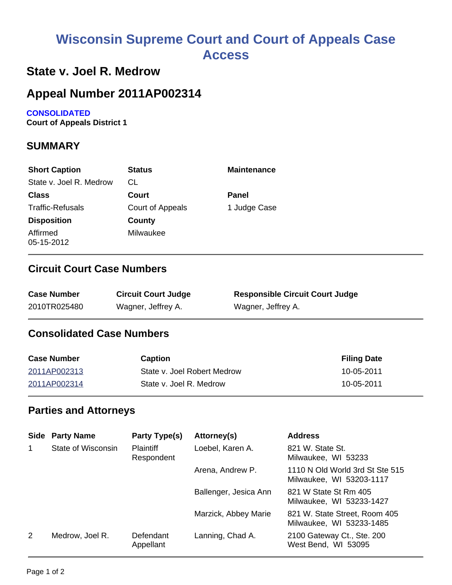# **Wisconsin Supreme Court and Court of Appeals Case Access**

### **State v. Joel R. Medrow**

## **Appeal Number 2011AP002314**

#### **CONSOLIDATED**

**Court of Appeals District 1**

### **SUMMARY**

| <b>Short Caption</b>    | <b>Status</b>    | <b>Maintenance</b> |
|-------------------------|------------------|--------------------|
| State v. Joel R. Medrow | CL               |                    |
| <b>Class</b>            | Court            | <b>Panel</b>       |
| <b>Traffic-Refusals</b> | Court of Appeals | 1 Judge Case       |
| <b>Disposition</b>      | County           |                    |
| Affirmed<br>05-15-2012  | Milwaukee        |                    |

#### **Circuit Court Case Numbers**

| <b>Case Number</b> | <b>Circuit Court Judge</b> | <b>Responsible Circuit Court Judge</b> |
|--------------------|----------------------------|----------------------------------------|
| 2010TR025480       | Wagner, Jeffrey A.         | Wagner, Jeffrey A.                     |

### **Consolidated Case Numbers**

| <b>Case Number</b> | Caption                     | <b>Filing Date</b> |
|--------------------|-----------------------------|--------------------|
| 2011AP002313       | State v. Joel Robert Medrow | 10-05-2011         |
| 2011AP002314       | State v. Joel R. Medrow     | 10-05-2011         |

#### **Parties and Attorneys**

| Side        | <b>Party Name</b>  | Party Type(s)                  | Attorney(s)           | <b>Address</b>                                              |
|-------------|--------------------|--------------------------------|-----------------------|-------------------------------------------------------------|
| $\mathbf 1$ | State of Wisconsin | <b>Plaintiff</b><br>Respondent | Loebel, Karen A.      | 821 W. State St.<br>Milwaukee, WI 53233                     |
|             |                    |                                | Arena, Andrew P.      | 1110 N Old World 3rd St Ste 515<br>Milwaukee, WI 53203-1117 |
|             |                    |                                | Ballenger, Jesica Ann | 821 W State St Rm 405<br>Milwaukee, WI 53233-1427           |
|             |                    |                                | Marzick, Abbey Marie  | 821 W. State Street, Room 405<br>Milwaukee, WI 53233-1485   |
| 2           | Medrow, Joel R.    | Defendant<br>Appellant         | Lanning, Chad A.      | 2100 Gateway Ct., Ste. 200<br>West Bend, WI 53095           |